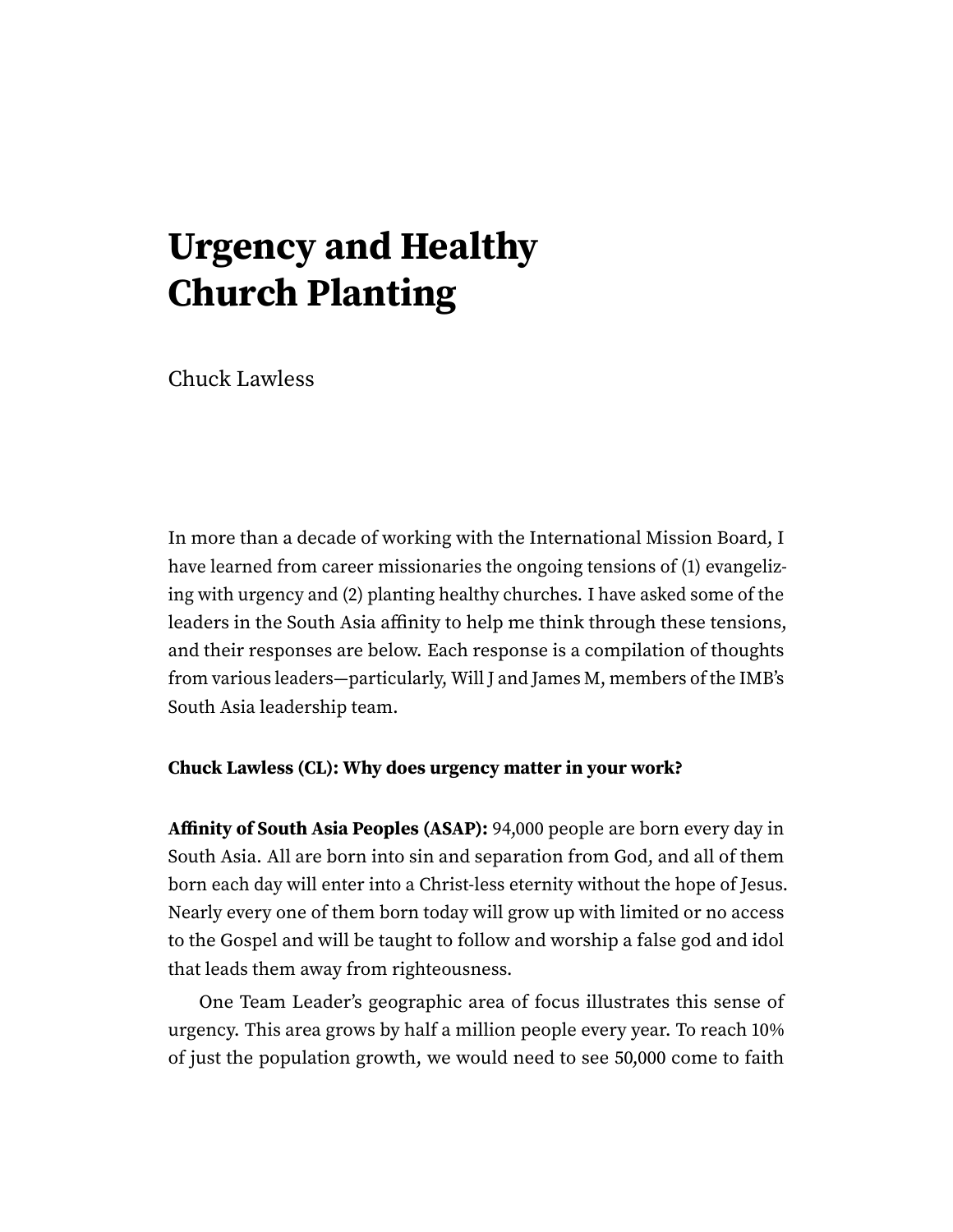# **Urgency and Healthy Church Planting**

Chuck Lawless

In more than a decade of working with the International Mission Board, I have learned from career missionaries the ongoing tensions of (1) evangelizing with urgency and (2) planting healthy churches. I have asked some of the leaders in the South Asia affinity to help me think through these tensions, and their responses are below. Each response is a compilation of thoughts from various leaders—particularly, Will J and James M, members of the IMB's South Asia leadership team.

#### **Chuck Lawless (CL): Why does urgency matter in your work?**

**Affinity of South Asia Peoples (ASAP):** 94,000 people are born every day in South Asia. All are born into sin and separation from God, and all of them born each day will enter into a Christ-less eternity without the hope of Jesus. Nearly every one of them born today will grow up with limited or no access to the Gospel and will be taught to follow and worship a false god and idol that leads them away from righteousness.

One Team Leader's geographic area of focus illustrates this sense of urgency. This area grows by half a million people every year. To reach 10% of just the population growth, we would need to see 50,000 come to faith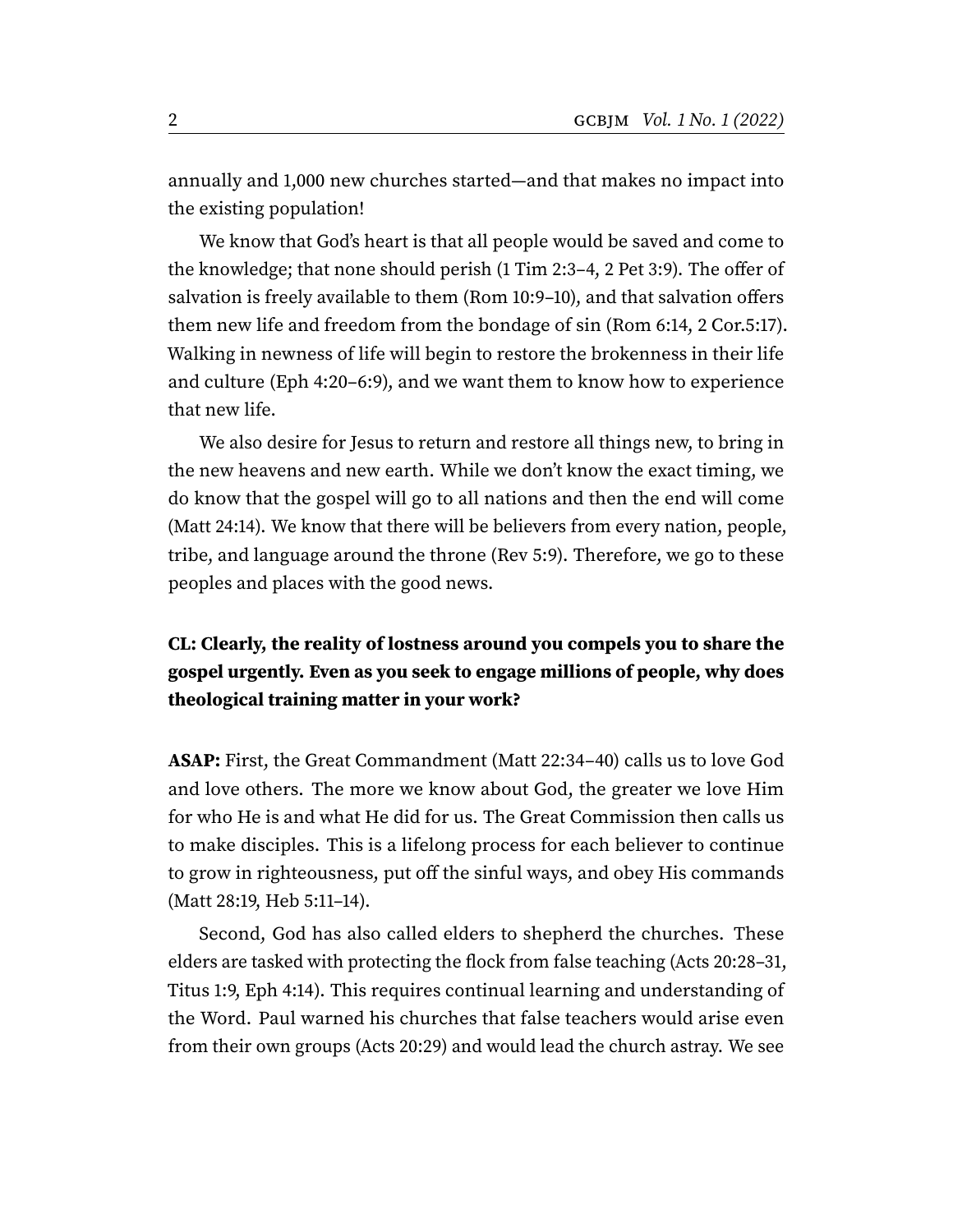annually and 1,000 new churches started—and that makes no impact into the existing population!

We know that God's heart is that all people would be saved and come to the knowledge; that none should perish (1 Tim 2:3–4, 2 Pet 3:9). The offer of salvation is freely available to them (Rom 10:9–10), and that salvation offers them new life and freedom from the bondage of sin (Rom 6:14, 2 Cor.5:17). Walking in newness of life will begin to restore the brokenness in their life and culture (Eph 4:20–6:9), and we want them to know how to experience that new life.

We also desire for Jesus to return and restore all things new, to bring in the new heavens and new earth. While we don't know the exact timing, we do know that the gospel will go to all nations and then the end will come (Matt 24:14). We know that there will be believers from every nation, people, tribe, and language around the throne (Rev 5:9). Therefore, we go to these peoples and places with the good news.

## **CL: Clearly, the reality of lostness around you compels you to share the gospel urgently. Even as you seek to engage millions of people, why does theological training matter in your work?**

**ASAP:** First, the Great Commandment (Matt 22:34–40) calls us to love God and love others. The more we know about God, the greater we love Him for who He is and what He did for us. The Great Commission then calls us to make disciples. This is a lifelong process for each believer to continue to grow in righteousness, put off the sinful ways, and obey His commands (Matt 28:19, Heb 5:11–14).

Second, God has also called elders to shepherd the churches. These elders are tasked with protecting the flock from false teaching (Acts 20:28–31, Titus 1:9, Eph 4:14). This requires continual learning and understanding of the Word. Paul warned his churches that false teachers would arise even from their own groups (Acts 20:29) and would lead the church astray. We see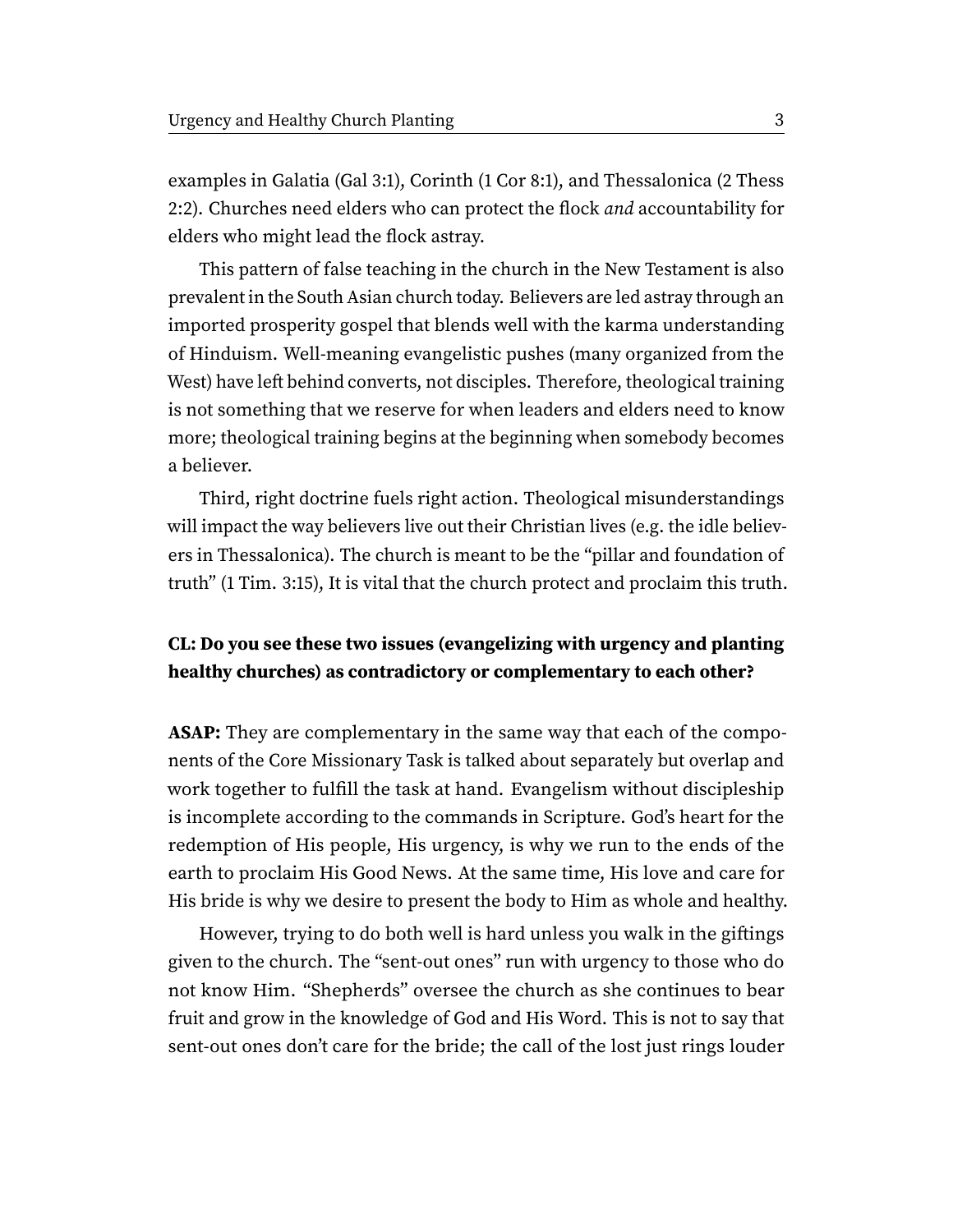examples in Galatia (Gal 3:1), Corinth (1 Cor 8:1), and Thessalonica (2 Thess 2:2). Churches need elders who can protect the flock and accountability for elders who might lead the flock astray.

This pattern of false teaching in the church in the New Testament is also prevalent in the South Asian church today. Believers are led astray through an imported prosperity gospel that blends well with the karma understanding of Hinduism. Well-meaning evangelistic pushes (many organized from the West) have left behind converts, not disciples. Therefore, theological training is not something that we reserve for when leaders and elders need to know more; theological training begins at the beginning when somebody becomes a believer.

Third, right doctrine fuels right action. Theological misunderstandings will impact the way believers live out their Christian lives (e.g. the idle believers in Thessalonica). The church is meant to be the "pillar and foundation of truth" (1 Tim. 3:15), It is vital that the church protect and proclaim this truth.

### **CL: Do you see these two issues (evangelizing with urgency and planting healthy churches) as contradictory or complementary to each other?**

**ASAP:** They are complementary in the same way that each of the components of the Core Missionary Task is talked about separately but overlap and work together to fulfill the task at hand. Evangelism without discipleship is incomplete according to the commands in Scripture. God's heart for the redemption of His people, His urgency, is why we run to the ends of the earth to proclaim His Good News. At the same time, His love and care for His bride is why we desire to present the body to Him as whole and healthy.

However, trying to do both well is hard unless you walk in the giftings given to the church. The "sent-out ones" run with urgency to those who do not know Him. "Shepherds" oversee the church as she continues to bear fruit and grow in the knowledge of God and His Word. This is not to say that sent-out ones don't care for the bride; the call of the lost just rings louder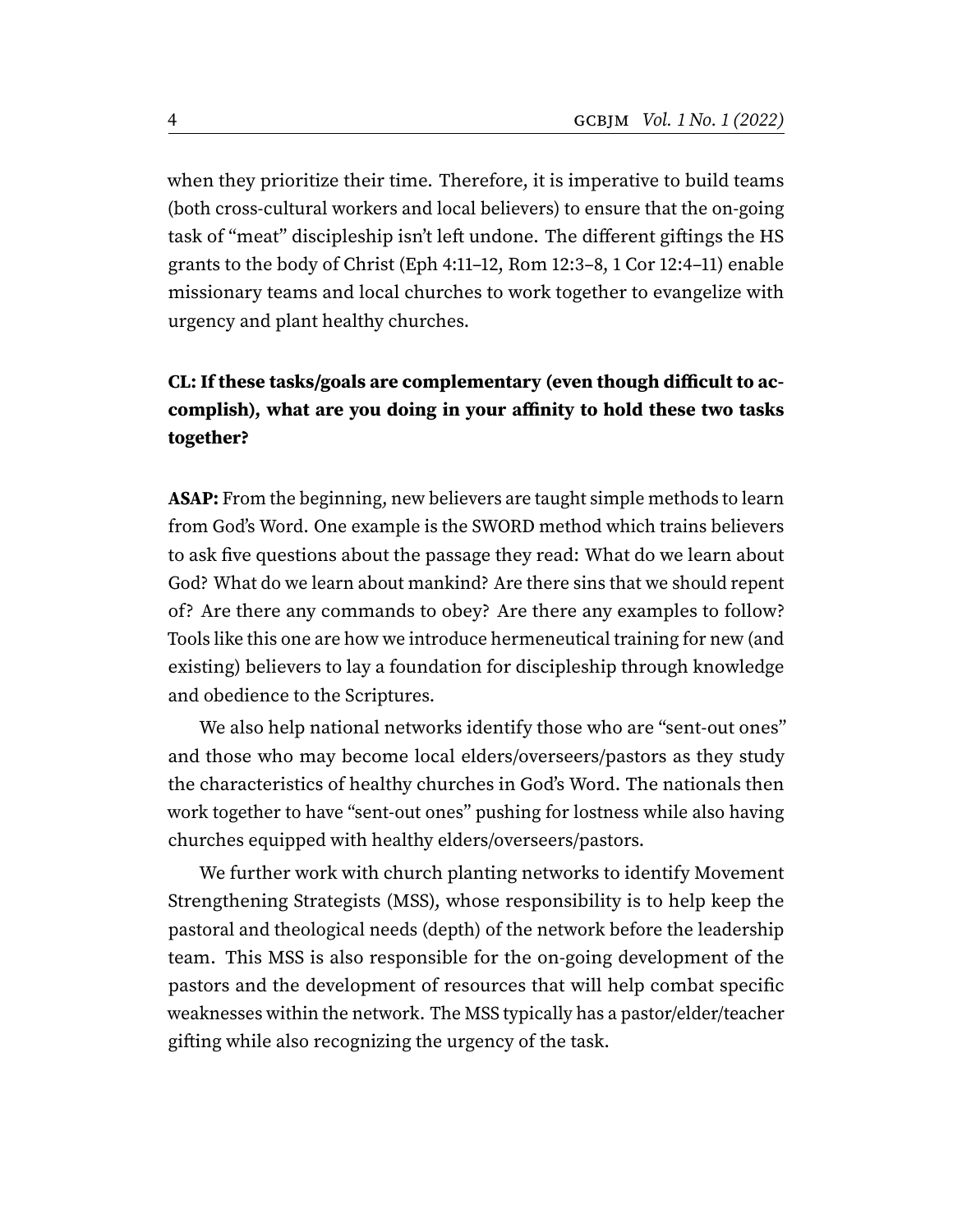when they prioritize their time. Therefore, it is imperative to build teams (both cross-cultural workers and local believers) to ensure that the on-going task of "meat" discipleship isn't left undone. The different giftings the HS grants to the body of Christ (Eph 4:11–12, Rom 12:3–8, 1 Cor 12:4–11) enable missionary teams and local churches to work together to evangelize with urgency and plant healthy churches.

## **CL: If these tasks/goals are complementary (even though difficult to accomplish), what are you doing in your affinity to hold these two tasks together?**

**ASAP:** From the beginning, new believers are taught simple methods to learn from God's Word. One example is the SWORD method which trains believers to ask five questions about the passage they read: What do we learn about God? What do we learn about mankind? Are there sins that we should repent of? Are there any commands to obey? Are there any examples to follow? Tools like this one are how we introduce hermeneutical training for new (and existing) believers to lay a foundation for discipleship through knowledge and obedience to the Scriptures.

We also help national networks identify those who are "sent-out ones" and those who may become local elders/overseers/pastors as they study the characteristics of healthy churches in God's Word. The nationals then work together to have "sent-out ones" pushing for lostness while also having churches equipped with healthy elders/overseers/pastors.

We further work with church planting networks to identify Movement Strengthening Strategists (MSS), whose responsibility is to help keep the pastoral and theological needs (depth) of the network before the leadership team. This MSS is also responsible for the on-going development of the pastors and the development of resources that will help combat specific weaknesses within the network. The MSS typically has a pastor/elder/teacher gifting while also recognizing the urgency of the task.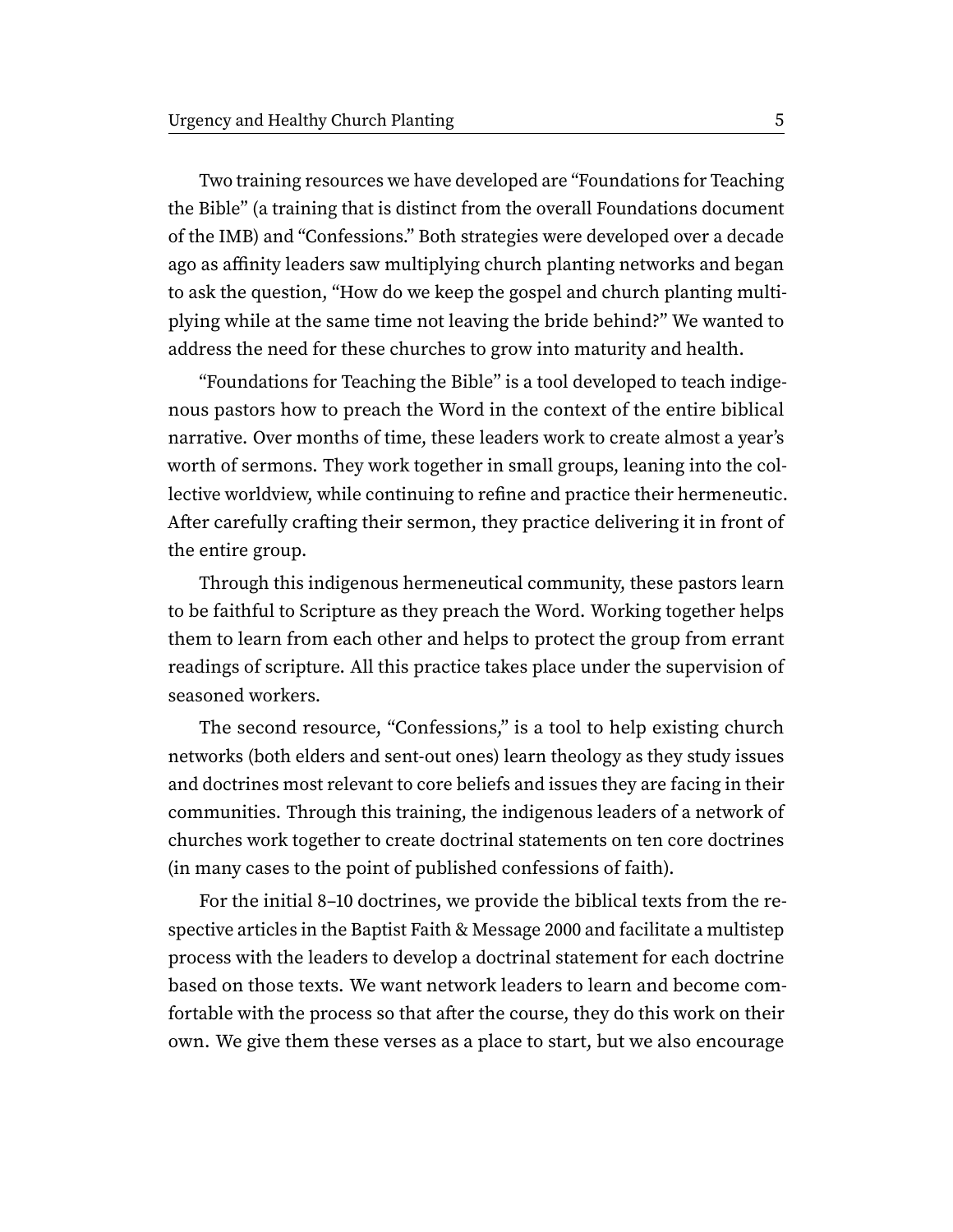Two training resources we have developed are "Foundations for Teaching the Bible" (a training that is distinct from the overall Foundations document of the IMB) and "Confessions." Both strategies were developed over a decade ago as affinity leaders saw multiplying church planting networks and began to ask the question, "How do we keep the gospel and church planting multiplying while at the same time not leaving the bride behind?" We wanted to address the need for these churches to grow into maturity and health.

"Foundations for Teaching the Bible" is a tool developed to teach indigenous pastors how to preach the Word in the context of the entire biblical narrative. Over months of time, these leaders work to create almost a year's worth of sermons. They work together in small groups, leaning into the collective worldview, while continuing to refine and practice their hermeneutic. After carefully crafting their sermon, they practice delivering it in front of the entire group.

Through this indigenous hermeneutical community, these pastors learn to be faithful to Scripture as they preach the Word. Working together helps them to learn from each other and helps to protect the group from errant readings of scripture. All this practice takes place under the supervision of seasoned workers.

The second resource, "Confessions," is a tool to help existing church networks (both elders and sent-out ones) learn theology as they study issues and doctrines most relevant to core beliefs and issues they are facing in their communities. Through this training, the indigenous leaders of a network of churches work together to create doctrinal statements on ten core doctrines (in many cases to the point of published confessions of faith).

For the initial 8–10 doctrines, we provide the biblical texts from the respective articles in the Baptist Faith & Message 2000 and facilitate a multistep process with the leaders to develop a doctrinal statement for each doctrine based on those texts. We want network leaders to learn and become comfortable with the process so that after the course, they do this work on their own. We give them these verses as a place to start, but we also encourage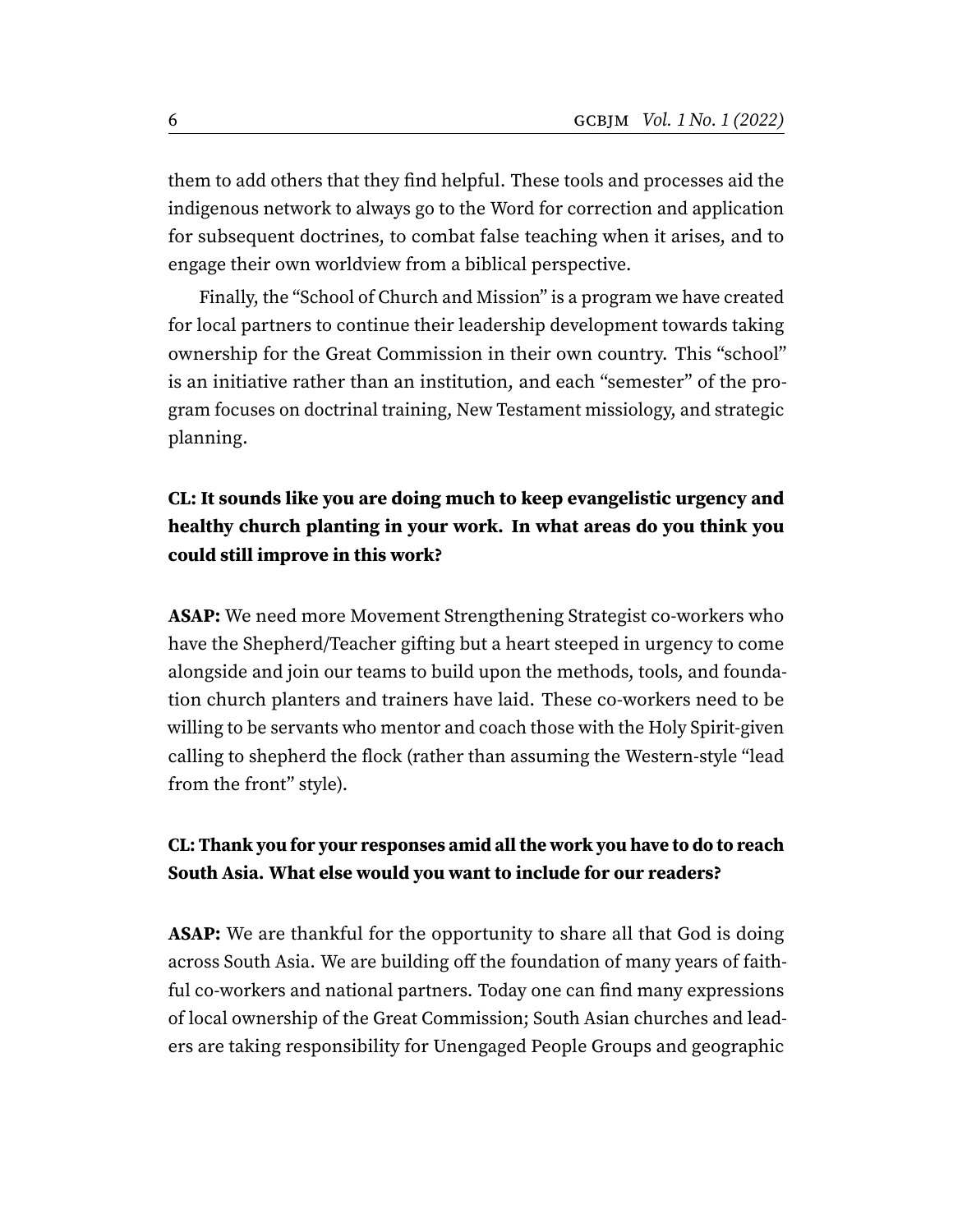them to add others that they find helpful. These tools and processes aid the indigenous network to always go to the Word for correction and application for subsequent doctrines, to combat false teaching when it arises, and to engage their own worldview from a biblical perspective.

Finally, the "School of Church and Mission" is a program we have created for local partners to continue their leadership development towards taking ownership for the Great Commission in their own country. This "school" is an initiative rather than an institution, and each "semester" of the program focuses on doctrinal training, New Testament missiology, and strategic planning.

## **CL: It sounds like you are doing much to keep evangelistic urgency and healthy church planting in your work. In what areas do you think you could still improve in this work?**

**ASAP:** We need more Movement Strengthening Strategist co-workers who have the Shepherd/Teacher gifting but a heart steeped in urgency to come alongside and join our teams to build upon the methods, tools, and foundation church planters and trainers have laid. These co-workers need to be willing to be servants who mentor and coach those with the Holy Spirit-given calling to shepherd the flock (rather than assuming the Western-style "lead from the front" style).

#### **CL: Thank you for your responses amid all the work you have to do to reach South Asia. What else would you want to include for our readers?**

**ASAP:** We are thankful for the opportunity to share all that God is doing across South Asia. We are building off the foundation of many years of faithful co-workers and national partners. Today one can find many expressions of local ownership of the Great Commission; South Asian churches and leaders are taking responsibility for Unengaged People Groups and geographic